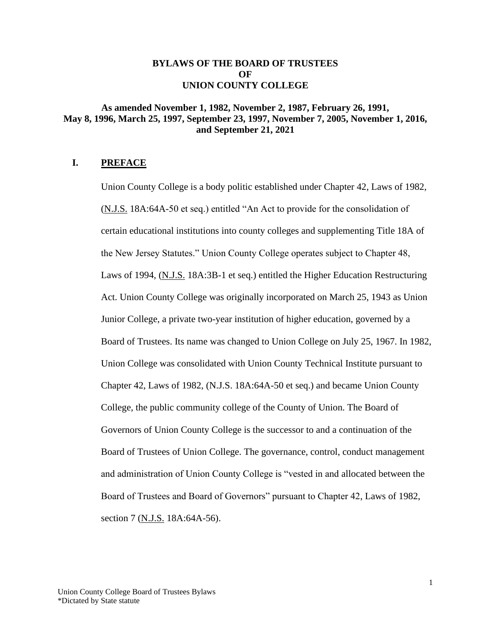## **BYLAWS OF THE BOARD OF TRUSTEES OF UNION COUNTY COLLEGE**

## **As amended November 1, 1982, November 2, 1987, February 26, 1991, May 8, 1996, March 25, 1997, September 23, 1997, November 7, 2005, November 1, 2016, and September 21, 2021**

## **I. PREFACE**

Union County College is a body politic established under Chapter 42, Laws of 1982, (N.J.S. 18A:64A-50 et seq.) entitled "An Act to provide for the consolidation of certain educational institutions into county colleges and supplementing Title 18A of the New Jersey Statutes." Union County College operates subject to Chapter 48, Laws of 1994, (N.J.S. 18A:3B-1 et seq.) entitled the Higher Education Restructuring Act. Union County College was originally incorporated on March 25, 1943 as Union Junior College, a private two-year institution of higher education, governed by a Board of Trustees. Its name was changed to Union College on July 25, 1967. In 1982, Union College was consolidated with Union County Technical Institute pursuant to Chapter 42, Laws of 1982, (N.J.S. 18A:64A-50 et seq.) and became Union County College, the public community college of the County of Union. The Board of Governors of Union County College is the successor to and a continuation of the Board of Trustees of Union College. The governance, control, conduct management and administration of Union County College is "vested in and allocated between the Board of Trustees and Board of Governors" pursuant to Chapter 42, Laws of 1982, section 7 (N.J.S. 18A:64A-56).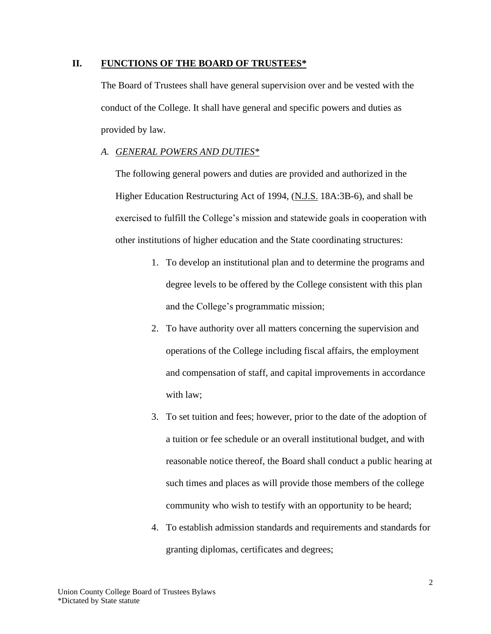## **II. FUNCTIONS OF THE BOARD OF TRUSTEES\***

The Board of Trustees shall have general supervision over and be vested with the conduct of the College. It shall have general and specific powers and duties as provided by law.

## *A. GENERAL POWERS AND DUTIES\**

The following general powers and duties are provided and authorized in the Higher Education Restructuring Act of 1994, (N.J.S. 18A:3B-6), and shall be exercised to fulfill the College's mission and statewide goals in cooperation with other institutions of higher education and the State coordinating structures:

- 1. To develop an institutional plan and to determine the programs and degree levels to be offered by the College consistent with this plan and the College's programmatic mission;
- 2. To have authority over all matters concerning the supervision and operations of the College including fiscal affairs, the employment and compensation of staff, and capital improvements in accordance with law;
- 3. To set tuition and fees; however, prior to the date of the adoption of a tuition or fee schedule or an overall institutional budget, and with reasonable notice thereof, the Board shall conduct a public hearing at such times and places as will provide those members of the college community who wish to testify with an opportunity to be heard;
- 4. To establish admission standards and requirements and standards for granting diplomas, certificates and degrees;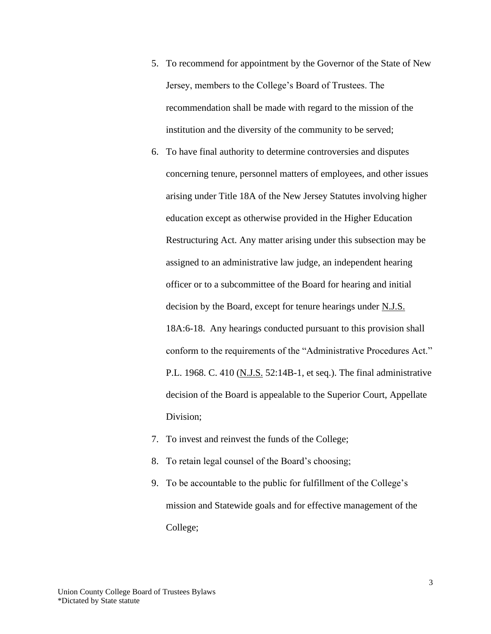- 5. To recommend for appointment by the Governor of the State of New Jersey, members to the College's Board of Trustees. The recommendation shall be made with regard to the mission of the institution and the diversity of the community to be served;
- 6. To have final authority to determine controversies and disputes concerning tenure, personnel matters of employees, and other issues arising under Title 18A of the New Jersey Statutes involving higher education except as otherwise provided in the Higher Education Restructuring Act. Any matter arising under this subsection may be assigned to an administrative law judge, an independent hearing officer or to a subcommittee of the Board for hearing and initial decision by the Board, except for tenure hearings under N.J.S. 18A:6-18. Any hearings conducted pursuant to this provision shall conform to the requirements of the "Administrative Procedures Act." P.L. 1968. C. 410 (N.J.S. 52:14B-1, et seq.). The final administrative decision of the Board is appealable to the Superior Court, Appellate Division;
- 7. To invest and reinvest the funds of the College;
- 8. To retain legal counsel of the Board's choosing;
- 9. To be accountable to the public for fulfillment of the College's mission and Statewide goals and for effective management of the College;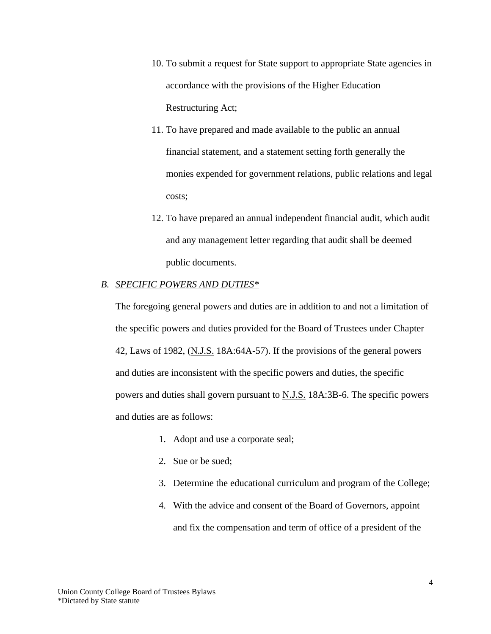- 10. To submit a request for State support to appropriate State agencies in accordance with the provisions of the Higher Education Restructuring Act;
- 11. To have prepared and made available to the public an annual financial statement, and a statement setting forth generally the monies expended for government relations, public relations and legal costs;
- 12. To have prepared an annual independent financial audit, which audit and any management letter regarding that audit shall be deemed public documents.

#### *B. SPECIFIC POWERS AND DUTIES\**

The foregoing general powers and duties are in addition to and not a limitation of the specific powers and duties provided for the Board of Trustees under Chapter 42, Laws of 1982,  $(N.J.S. 18A:64A-57)$ . If the provisions of the general powers and duties are inconsistent with the specific powers and duties, the specific powers and duties shall govern pursuant to N.J.S. 18A:3B-6. The specific powers and duties are as follows:

- 1. Adopt and use a corporate seal;
- 2. Sue or be sued;
- 3. Determine the educational curriculum and program of the College;
- 4. With the advice and consent of the Board of Governors, appoint and fix the compensation and term of office of a president of the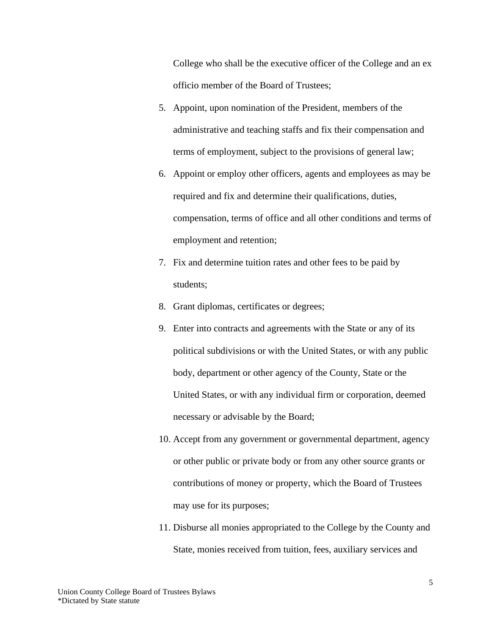College who shall be the executive officer of the College and an ex officio member of the Board of Trustees;

- 5. Appoint, upon nomination of the President, members of the administrative and teaching staffs and fix their compensation and terms of employment, subject to the provisions of general law;
- 6. Appoint or employ other officers, agents and employees as may be required and fix and determine their qualifications, duties, compensation, terms of office and all other conditions and terms of employment and retention;
- 7. Fix and determine tuition rates and other fees to be paid by students;
- 8. Grant diplomas, certificates or degrees;
- 9. Enter into contracts and agreements with the State or any of its political subdivisions or with the United States, or with any public body, department or other agency of the County, State or the United States, or with any individual firm or corporation, deemed necessary or advisable by the Board;
- 10. Accept from any government or governmental department, agency or other public or private body or from any other source grants or contributions of money or property, which the Board of Trustees may use for its purposes;
- 11. Disburse all monies appropriated to the College by the County and State, monies received from tuition, fees, auxiliary services and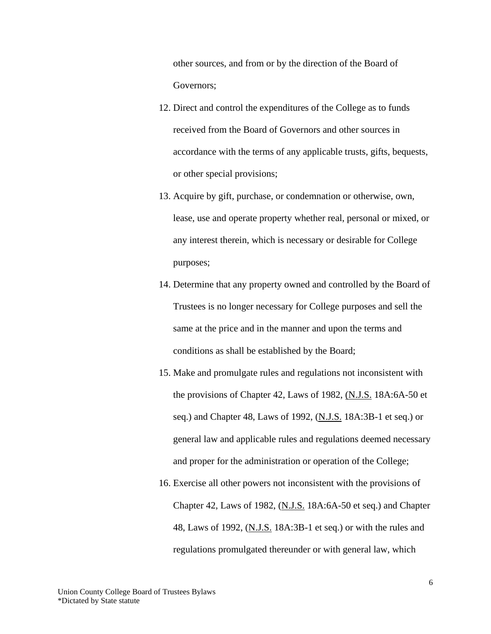other sources, and from or by the direction of the Board of Governors;

- 12. Direct and control the expenditures of the College as to funds received from the Board of Governors and other sources in accordance with the terms of any applicable trusts, gifts, bequests, or other special provisions;
- 13. Acquire by gift, purchase, or condemnation or otherwise, own, lease, use and operate property whether real, personal or mixed, or any interest therein, which is necessary or desirable for College purposes;
- 14. Determine that any property owned and controlled by the Board of Trustees is no longer necessary for College purposes and sell the same at the price and in the manner and upon the terms and conditions as shall be established by the Board;
- 15. Make and promulgate rules and regulations not inconsistent with the provisions of Chapter 42, Laws of 1982,  $(N.I.S. 18A:6A-50$  et seq.) and Chapter 48, Laws of 1992, (N.J.S. 18A:3B-1 et seq.) or general law and applicable rules and regulations deemed necessary and proper for the administration or operation of the College;
- 16. Exercise all other powers not inconsistent with the provisions of Chapter 42, Laws of 1982, (N.J.S. 18A:6A-50 et seq.) and Chapter 48, Laws of 1992, (N.J.S. 18A:3B-1 et seq.) or with the rules and regulations promulgated thereunder or with general law, which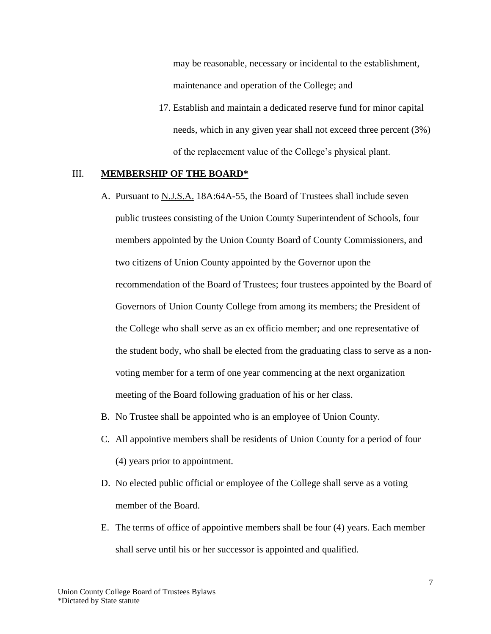may be reasonable, necessary or incidental to the establishment, maintenance and operation of the College; and

17. Establish and maintain a dedicated reserve fund for minor capital needs, which in any given year shall not exceed three percent (3%) of the replacement value of the College's physical plant.

### III. **MEMBERSHIP OF THE BOARD\***

- A. Pursuant to N.J.S.A. 18A:64A-55, the Board of Trustees shall include seven public trustees consisting of the Union County Superintendent of Schools, four members appointed by the Union County Board of County Commissioners, and two citizens of Union County appointed by the Governor upon the recommendation of the Board of Trustees; four trustees appointed by the Board of Governors of Union County College from among its members; the President of the College who shall serve as an ex officio member; and one representative of the student body, who shall be elected from the graduating class to serve as a nonvoting member for a term of one year commencing at the next organization meeting of the Board following graduation of his or her class.
- B. No Trustee shall be appointed who is an employee of Union County.
- C. All appointive members shall be residents of Union County for a period of four (4) years prior to appointment.
- D. No elected public official or employee of the College shall serve as a voting member of the Board.
- E. The terms of office of appointive members shall be four (4) years. Each member shall serve until his or her successor is appointed and qualified.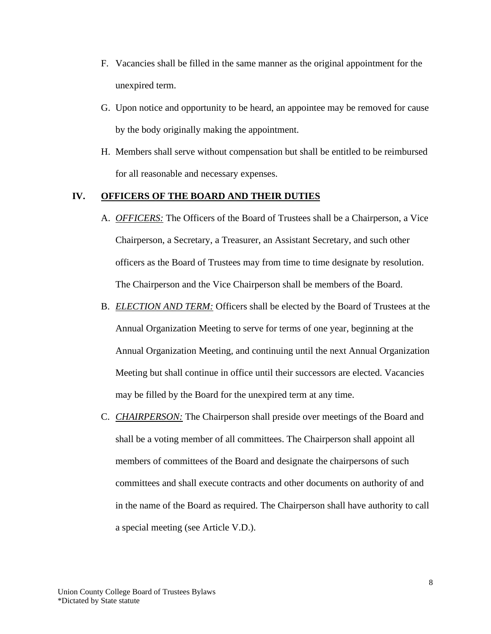- F. Vacancies shall be filled in the same manner as the original appointment for the unexpired term.
- G. Upon notice and opportunity to be heard, an appointee may be removed for cause by the body originally making the appointment.
- H. Members shall serve without compensation but shall be entitled to be reimbursed for all reasonable and necessary expenses.

### **IV. OFFICERS OF THE BOARD AND THEIR DUTIES**

- A. *OFFICERS:* The Officers of the Board of Trustees shall be a Chairperson, a Vice Chairperson, a Secretary, a Treasurer, an Assistant Secretary, and such other officers as the Board of Trustees may from time to time designate by resolution. The Chairperson and the Vice Chairperson shall be members of the Board.
- B. *ELECTION AND TERM:* Officers shall be elected by the Board of Trustees at the Annual Organization Meeting to serve for terms of one year, beginning at the Annual Organization Meeting, and continuing until the next Annual Organization Meeting but shall continue in office until their successors are elected. Vacancies may be filled by the Board for the unexpired term at any time.
- C. *CHAIRPERSON:* The Chairperson shall preside over meetings of the Board and shall be a voting member of all committees. The Chairperson shall appoint all members of committees of the Board and designate the chairpersons of such committees and shall execute contracts and other documents on authority of and in the name of the Board as required. The Chairperson shall have authority to call a special meeting (see Article V.D.).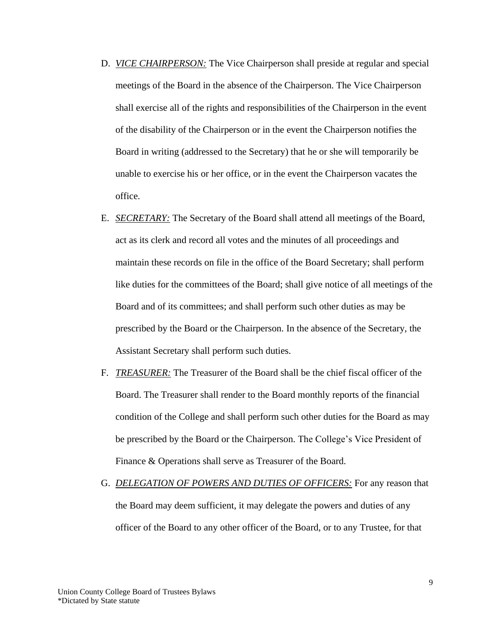- D. *VICE CHAIRPERSON:* The Vice Chairperson shall preside at regular and special meetings of the Board in the absence of the Chairperson. The Vice Chairperson shall exercise all of the rights and responsibilities of the Chairperson in the event of the disability of the Chairperson or in the event the Chairperson notifies the Board in writing (addressed to the Secretary) that he or she will temporarily be unable to exercise his or her office, or in the event the Chairperson vacates the office.
- E. *SECRETARY:* The Secretary of the Board shall attend all meetings of the Board, act as its clerk and record all votes and the minutes of all proceedings and maintain these records on file in the office of the Board Secretary; shall perform like duties for the committees of the Board; shall give notice of all meetings of the Board and of its committees; and shall perform such other duties as may be prescribed by the Board or the Chairperson. In the absence of the Secretary, the Assistant Secretary shall perform such duties.
- F. *TREASURER:* The Treasurer of the Board shall be the chief fiscal officer of the Board. The Treasurer shall render to the Board monthly reports of the financial condition of the College and shall perform such other duties for the Board as may be prescribed by the Board or the Chairperson. The College's Vice President of Finance & Operations shall serve as Treasurer of the Board.
- G. *DELEGATION OF POWERS AND DUTIES OF OFFICERS:* For any reason that the Board may deem sufficient, it may delegate the powers and duties of any officer of the Board to any other officer of the Board, or to any Trustee, for that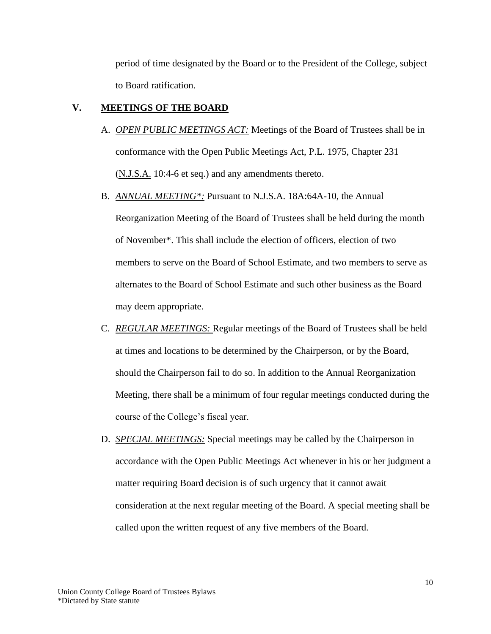period of time designated by the Board or to the President of the College, subject to Board ratification.

## **V. MEETINGS OF THE BOARD**

- A. *OPEN PUBLIC MEETINGS ACT:* Meetings of the Board of Trustees shall be in conformance with the Open Public Meetings Act, P.L. 1975, Chapter 231 (N.J.S.A. 10:4-6 et seq.) and any amendments thereto.
- B. *ANNUAL MEETING\*:* Pursuant to N.J.S.A. 18A:64A-10, the Annual

Reorganization Meeting of the Board of Trustees shall be held during the month of November\*. This shall include the election of officers, election of two members to serve on the Board of School Estimate, and two members to serve as alternates to the Board of School Estimate and such other business as the Board may deem appropriate.

- C. *REGULAR MEETINGS:* Regular meetings of the Board of Trustees shall be held at times and locations to be determined by the Chairperson, or by the Board, should the Chairperson fail to do so. In addition to the Annual Reorganization Meeting, there shall be a minimum of four regular meetings conducted during the course of the College's fiscal year.
- D. *SPECIAL MEETINGS:* Special meetings may be called by the Chairperson in accordance with the Open Public Meetings Act whenever in his or her judgment a matter requiring Board decision is of such urgency that it cannot await consideration at the next regular meeting of the Board. A special meeting shall be called upon the written request of any five members of the Board.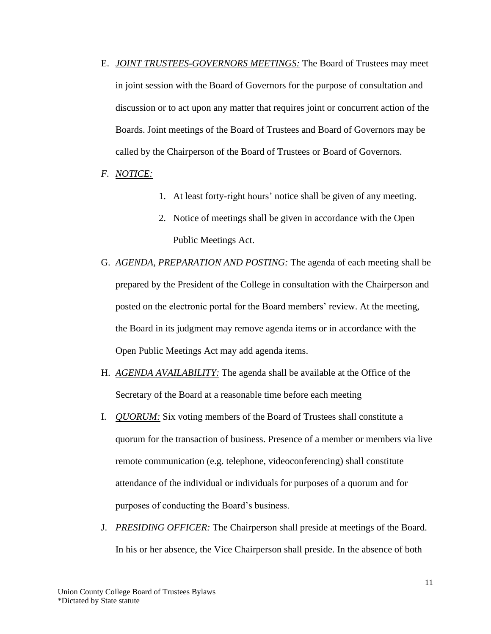- E. *JOINT TRUSTEES-GOVERNORS MEETINGS:* The Board of Trustees may meet in joint session with the Board of Governors for the purpose of consultation and discussion or to act upon any matter that requires joint or concurrent action of the Boards. Joint meetings of the Board of Trustees and Board of Governors may be called by the Chairperson of the Board of Trustees or Board of Governors.
- *F. NOTICE:*
- 1. At least forty-right hours' notice shall be given of any meeting.
- 2. Notice of meetings shall be given in accordance with the Open Public Meetings Act.
- G. *AGENDA, PREPARATION AND POSTING:* The agenda of each meeting shall be prepared by the President of the College in consultation with the Chairperson and posted on the electronic portal for the Board members' review. At the meeting, the Board in its judgment may remove agenda items or in accordance with the Open Public Meetings Act may add agenda items.
- H. *AGENDA AVAILABILITY:* The agenda shall be available at the Office of the Secretary of the Board at a reasonable time before each meeting
- I. *QUORUM:* Six voting members of the Board of Trustees shall constitute a quorum for the transaction of business. Presence of a member or members via live remote communication (e.g. telephone, videoconferencing) shall constitute attendance of the individual or individuals for purposes of a quorum and for purposes of conducting the Board's business.
- J. *PRESIDING OFFICER:* The Chairperson shall preside at meetings of the Board. In his or her absence, the Vice Chairperson shall preside. In the absence of both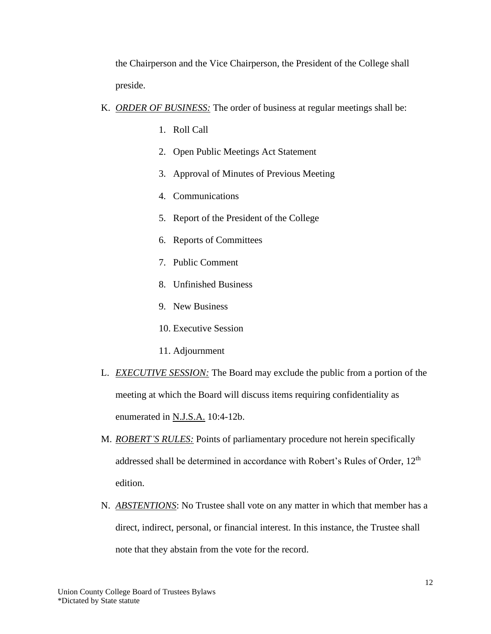the Chairperson and the Vice Chairperson, the President of the College shall preside.

- K. *ORDER OF BUSINESS:* The order of business at regular meetings shall be:
	- 1. Roll Call
	- 2. Open Public Meetings Act Statement
	- 3. Approval of Minutes of Previous Meeting
	- 4. Communications
	- 5. Report of the President of the College
	- 6. Reports of Committees
	- 7. Public Comment
	- 8. Unfinished Business
	- 9. New Business
	- 10. Executive Session
	- 11. Adjournment
- L. *EXECUTIVE SESSION:* The Board may exclude the public from a portion of the meeting at which the Board will discuss items requiring confidentiality as enumerated in N.J.S.A. 10:4-12b.
- M. *ROBERT'S RULES:* Points of parliamentary procedure not herein specifically addressed shall be determined in accordance with Robert's Rules of Order, 12<sup>th</sup> edition.
- N. *ABSTENTIONS*: No Trustee shall vote on any matter in which that member has a direct, indirect, personal, or financial interest. In this instance, the Trustee shall note that they abstain from the vote for the record.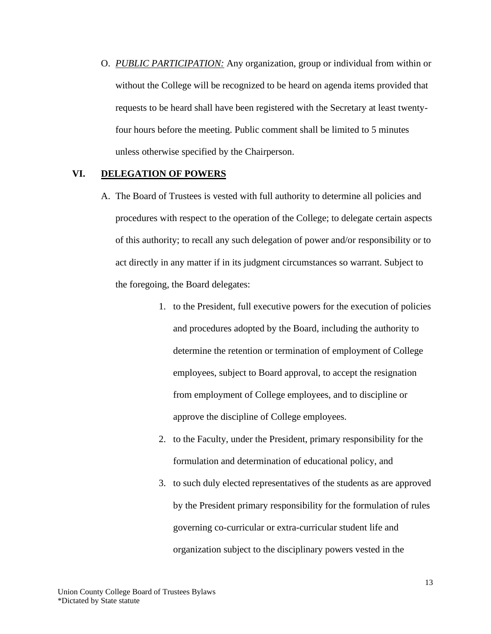O. *PUBLIC PARTICIPATION:* Any organization, group or individual from within or without the College will be recognized to be heard on agenda items provided that requests to be heard shall have been registered with the Secretary at least twentyfour hours before the meeting. Public comment shall be limited to 5 minutes unless otherwise specified by the Chairperson.

### **VI. DELEGATION OF POWERS**

- A. The Board of Trustees is vested with full authority to determine all policies and procedures with respect to the operation of the College; to delegate certain aspects of this authority; to recall any such delegation of power and/or responsibility or to act directly in any matter if in its judgment circumstances so warrant. Subject to the foregoing, the Board delegates:
	- 1. to the President, full executive powers for the execution of policies and procedures adopted by the Board, including the authority to determine the retention or termination of employment of College employees, subject to Board approval, to accept the resignation from employment of College employees, and to discipline or approve the discipline of College employees.
	- 2. to the Faculty, under the President, primary responsibility for the formulation and determination of educational policy, and
	- 3. to such duly elected representatives of the students as are approved by the President primary responsibility for the formulation of rules governing co-curricular or extra-curricular student life and organization subject to the disciplinary powers vested in the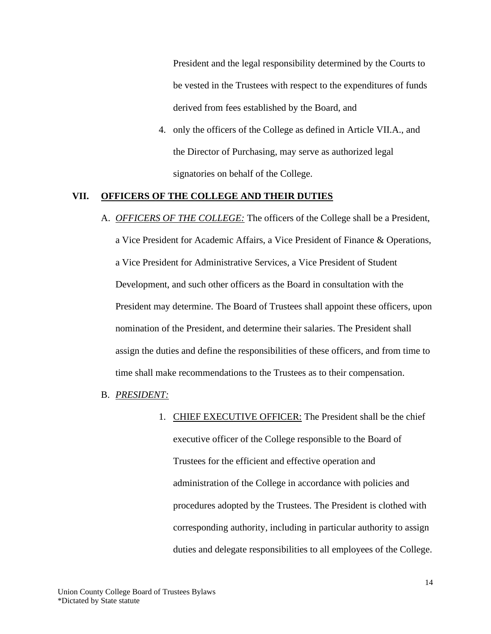President and the legal responsibility determined by the Courts to be vested in the Trustees with respect to the expenditures of funds derived from fees established by the Board, and

4. only the officers of the College as defined in Article VII.A., and the Director of Purchasing, may serve as authorized legal signatories on behalf of the College.

### **VII. OFFICERS OF THE COLLEGE AND THEIR DUTIES**

- A. *OFFICERS OF THE COLLEGE:* The officers of the College shall be a President, a Vice President for Academic Affairs, a Vice President of Finance & Operations, a Vice President for Administrative Services, a Vice President of Student Development, and such other officers as the Board in consultation with the President may determine. The Board of Trustees shall appoint these officers, upon nomination of the President, and determine their salaries. The President shall assign the duties and define the responsibilities of these officers, and from time to time shall make recommendations to the Trustees as to their compensation.
- B. *PRESIDENT:*
	- 1. CHIEF EXECUTIVE OFFICER: The President shall be the chief executive officer of the College responsible to the Board of Trustees for the efficient and effective operation and administration of the College in accordance with policies and procedures adopted by the Trustees. The President is clothed with corresponding authority, including in particular authority to assign duties and delegate responsibilities to all employees of the College.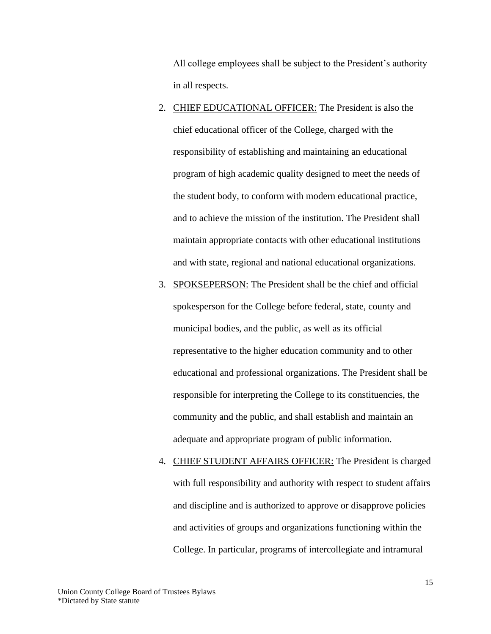All college employees shall be subject to the President's authority in all respects.

- 2. CHIEF EDUCATIONAL OFFICER: The President is also the chief educational officer of the College, charged with the responsibility of establishing and maintaining an educational program of high academic quality designed to meet the needs of the student body, to conform with modern educational practice, and to achieve the mission of the institution. The President shall maintain appropriate contacts with other educational institutions and with state, regional and national educational organizations.
- 3. SPOKSEPERSON: The President shall be the chief and official spokesperson for the College before federal, state, county and municipal bodies, and the public, as well as its official representative to the higher education community and to other educational and professional organizations. The President shall be responsible for interpreting the College to its constituencies, the community and the public, and shall establish and maintain an adequate and appropriate program of public information.
- 4. CHIEF STUDENT AFFAIRS OFFICER: The President is charged with full responsibility and authority with respect to student affairs and discipline and is authorized to approve or disapprove policies and activities of groups and organizations functioning within the College. In particular, programs of intercollegiate and intramural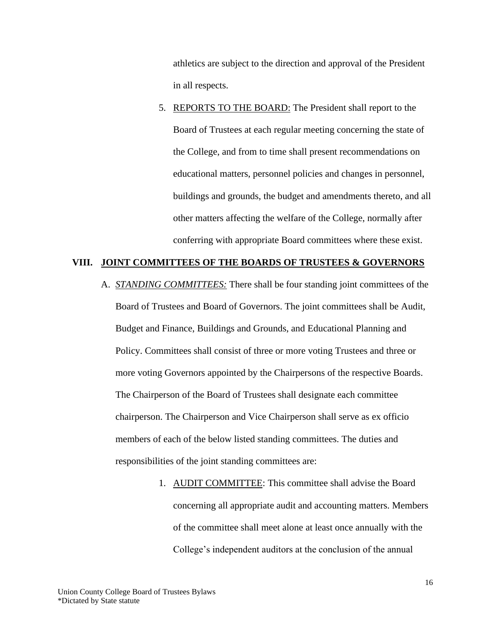athletics are subject to the direction and approval of the President in all respects.

5. REPORTS TO THE BOARD: The President shall report to the Board of Trustees at each regular meeting concerning the state of the College, and from to time shall present recommendations on educational matters, personnel policies and changes in personnel, buildings and grounds, the budget and amendments thereto, and all other matters affecting the welfare of the College, normally after conferring with appropriate Board committees where these exist.

### **VIII. JOINT COMMITTEES OF THE BOARDS OF TRUSTEES & GOVERNORS**

- A. *STANDING COMMITTEES:* There shall be four standing joint committees of the Board of Trustees and Board of Governors. The joint committees shall be Audit, Budget and Finance, Buildings and Grounds, and Educational Planning and Policy. Committees shall consist of three or more voting Trustees and three or more voting Governors appointed by the Chairpersons of the respective Boards. The Chairperson of the Board of Trustees shall designate each committee chairperson. The Chairperson and Vice Chairperson shall serve as ex officio members of each of the below listed standing committees. The duties and responsibilities of the joint standing committees are:
	- 1. AUDIT COMMITTEE: This committee shall advise the Board concerning all appropriate audit and accounting matters. Members of the committee shall meet alone at least once annually with the College's independent auditors at the conclusion of the annual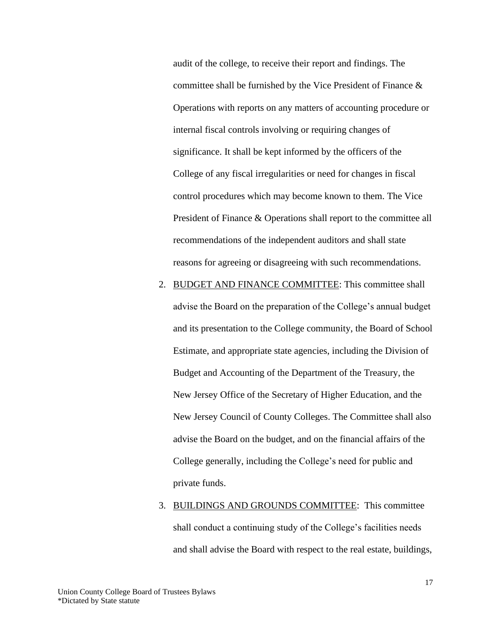audit of the college, to receive their report and findings. The committee shall be furnished by the Vice President of Finance & Operations with reports on any matters of accounting procedure or internal fiscal controls involving or requiring changes of significance. It shall be kept informed by the officers of the College of any fiscal irregularities or need for changes in fiscal control procedures which may become known to them. The Vice President of Finance & Operations shall report to the committee all recommendations of the independent auditors and shall state reasons for agreeing or disagreeing with such recommendations.

- 2. BUDGET AND FINANCE COMMITTEE: This committee shall advise the Board on the preparation of the College's annual budget and its presentation to the College community, the Board of School Estimate, and appropriate state agencies, including the Division of Budget and Accounting of the Department of the Treasury, the New Jersey Office of the Secretary of Higher Education, and the New Jersey Council of County Colleges. The Committee shall also advise the Board on the budget, and on the financial affairs of the College generally, including the College's need for public and private funds.
- 3. BUILDINGS AND GROUNDS COMMITTEE: This committee shall conduct a continuing study of the College's facilities needs and shall advise the Board with respect to the real estate, buildings,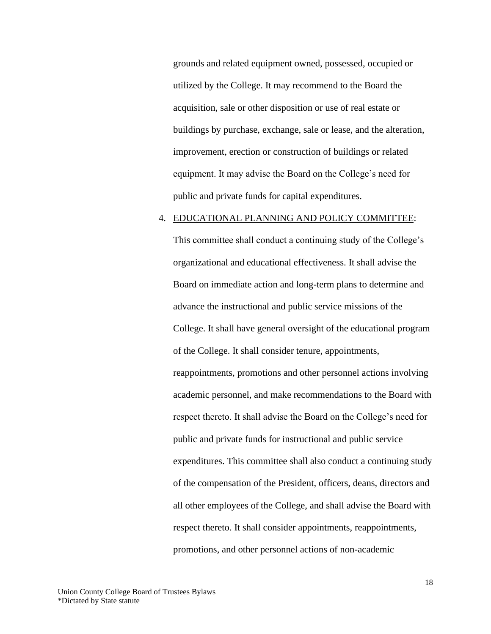grounds and related equipment owned, possessed, occupied or utilized by the College. It may recommend to the Board the acquisition, sale or other disposition or use of real estate or buildings by purchase, exchange, sale or lease, and the alteration, improvement, erection or construction of buildings or related equipment. It may advise the Board on the College's need for public and private funds for capital expenditures.

#### 4. EDUCATIONAL PLANNING AND POLICY COMMITTEE:

This committee shall conduct a continuing study of the College's organizational and educational effectiveness. It shall advise the Board on immediate action and long-term plans to determine and advance the instructional and public service missions of the College. It shall have general oversight of the educational program of the College. It shall consider tenure, appointments, reappointments, promotions and other personnel actions involving academic personnel, and make recommendations to the Board with respect thereto. It shall advise the Board on the College's need for public and private funds for instructional and public service expenditures. This committee shall also conduct a continuing study of the compensation of the President, officers, deans, directors and all other employees of the College, and shall advise the Board with respect thereto. It shall consider appointments, reappointments, promotions, and other personnel actions of non-academic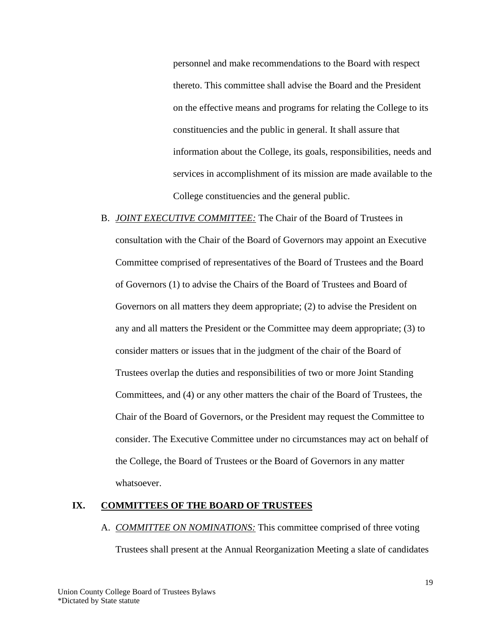personnel and make recommendations to the Board with respect thereto. This committee shall advise the Board and the President on the effective means and programs for relating the College to its constituencies and the public in general. It shall assure that information about the College, its goals, responsibilities, needs and services in accomplishment of its mission are made available to the College constituencies and the general public.

B. *JOINT EXECUTIVE COMMITTEE:* The Chair of the Board of Trustees in consultation with the Chair of the Board of Governors may appoint an Executive Committee comprised of representatives of the Board of Trustees and the Board of Governors (1) to advise the Chairs of the Board of Trustees and Board of Governors on all matters they deem appropriate; (2) to advise the President on any and all matters the President or the Committee may deem appropriate; (3) to consider matters or issues that in the judgment of the chair of the Board of Trustees overlap the duties and responsibilities of two or more Joint Standing Committees, and (4) or any other matters the chair of the Board of Trustees, the Chair of the Board of Governors, or the President may request the Committee to consider. The Executive Committee under no circumstances may act on behalf of the College, the Board of Trustees or the Board of Governors in any matter whatsoever.

## **IX. COMMITTEES OF THE BOARD OF TRUSTEES**

#### A. *COMMITTEE ON NOMINATIONS:* This committee comprised of three voting

Trustees shall present at the Annual Reorganization Meeting a slate of candidates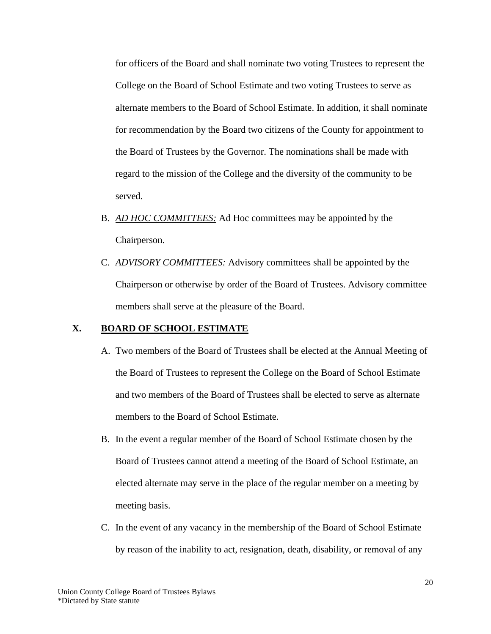for officers of the Board and shall nominate two voting Trustees to represent the College on the Board of School Estimate and two voting Trustees to serve as alternate members to the Board of School Estimate. In addition, it shall nominate for recommendation by the Board two citizens of the County for appointment to the Board of Trustees by the Governor. The nominations shall be made with regard to the mission of the College and the diversity of the community to be served.

- B. *AD HOC COMMITTEES:* Ad Hoc committees may be appointed by the Chairperson.
- C. *ADVISORY COMMITTEES:* Advisory committees shall be appointed by the Chairperson or otherwise by order of the Board of Trustees. Advisory committee members shall serve at the pleasure of the Board.

## **X. BOARD OF SCHOOL ESTIMATE**

- A. Two members of the Board of Trustees shall be elected at the Annual Meeting of the Board of Trustees to represent the College on the Board of School Estimate and two members of the Board of Trustees shall be elected to serve as alternate members to the Board of School Estimate.
- B. In the event a regular member of the Board of School Estimate chosen by the Board of Trustees cannot attend a meeting of the Board of School Estimate, an elected alternate may serve in the place of the regular member on a meeting by meeting basis.
- C. In the event of any vacancy in the membership of the Board of School Estimate by reason of the inability to act, resignation, death, disability, or removal of any